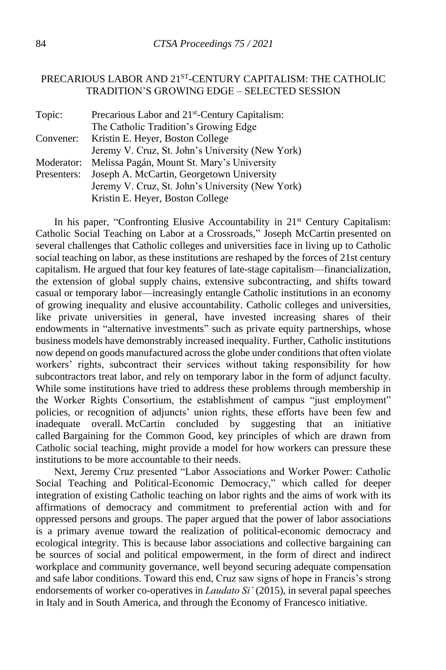## PRECARIOUS LABOR AND 21<sup>ST</sup>-CENTURY CAPITALISM: THE CATHOLIC TRADITION'S GROWING EDGE – SELECTED SESSION

| Precarious Labor and 21 <sup>st</sup> -Century Capitalism: |
|------------------------------------------------------------|
| The Catholic Tradition's Growing Edge                      |
| Kristin E. Heyer, Boston College                           |
| Jeremy V. Cruz, St. John's University (New York)           |
| Melissa Pagán, Mount St. Mary's University                 |
| Joseph A. McCartin, Georgetown University                  |
| Jeremy V. Cruz, St. John's University (New York)           |
| Kristin E. Heyer, Boston College                           |
|                                                            |

In his paper, "Confronting Elusive Accountability in 21<sup>st</sup> Century Capitalism: Catholic Social Teaching on Labor at a Crossroads," Joseph McCartin presented on several challenges that Catholic colleges and universities face in living up to Catholic social teaching on labor, as these institutions are reshaped by the forces of 21st century capitalism. He argued that four key features of late-stage capitalism—financialization, the extension of global supply chains, extensive subcontracting, and shifts toward casual or temporary labor—increasingly entangle Catholic institutions in an economy of growing inequality and elusive accountability. Catholic colleges and universities, like private universities in general, have invested increasing shares of their endowments in "alternative investments" such as private equity partnerships, whose business models have demonstrably increased inequality. Further, Catholic institutions now depend on goods manufactured across the globe under conditions that often violate workers' rights, subcontract their services without taking responsibility for how subcontractors treat labor, and rely on temporary labor in the form of adjunct faculty. While some institutions have tried to address these problems through membership in the Worker Rights Consortium, the establishment of campus "just employment" policies, or recognition of adjuncts' union rights, these efforts have been few and inadequate overall. McCartin concluded by suggesting that an initiative called Bargaining for the Common Good, key principles of which are drawn from Catholic social teaching, might provide a model for how workers can pressure these institutions to be more accountable to their needs.

Next, Jeremy Cruz presented "Labor Associations and Worker Power: Catholic Social Teaching and Political-Economic Democracy," which called for deeper integration of existing Catholic teaching on labor rights and the aims of work with its affirmations of democracy and commitment to preferential action with and for oppressed persons and groups. The paper argued that the power of labor associations is a primary avenue toward the realization of political-economic democracy and ecological integrity. This is because labor associations and collective bargaining can be sources of social and political empowerment, in the form of direct and indirect workplace and community governance, well beyond securing adequate compensation and safe labor conditions. Toward this end, Cruz saw signs of hope in Francis's strong endorsements of worker co-operatives in *Laudato Si'* (2015), in several papal speeches in Italy and in South America, and through the Economy of Francesco initiative.